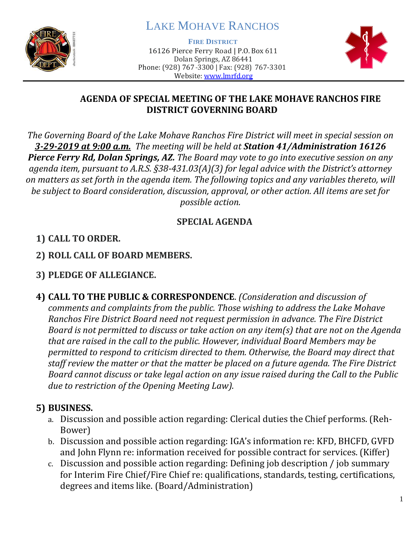

# LAKE MOHAVE RANCHOS

**FIRE DISTRICT**

16126 Pierce Ferry Road | P.O. Box 611 Dolan Springs, AZ 86441 Phone: (928) 767-3300 | Fax: (928) 767-3301 Website: [www.lmrfd.org](http://www.lmrfd.org/)



#### **AGENDA OF SPECIAL MEETING OF THE LAKE MOHAVE RANCHOS FIRE DISTRICT GOVERNING BOARD**

*The Governing Board of the Lake Mohave Ranchos Fire District will meet in special session on 3-29-2019 at 9:00 a.m. The meeting will be held at Station 41/Administration 16126 Pierce Ferry Rd, Dolan Springs, AZ. The Board may vote to go into executive session on any agenda item, pursuant to A.R.S. §38-431.03(A)(3) for legal advice with the District's attorney on matters as set forth in the agenda item. The following topics and any variables thereto, will be subject to Board consideration, discussion, approval, or other action. All items are set for possible action.*

### **SPECIAL AGENDA**

# **1) CALL TO ORDER.**

**2) ROLL CALL OF BOARD MEMBERS.**

# **3) PLEDGE OF ALLEGIANCE.**

**4) CALL TO THE PUBLIC & CORRESPONDENCE**. *(Consideration and discussion of comments and complaints from the public. Those wishing to address the Lake Mohave Ranchos Fire District Board need not request permission in advance. The Fire District Board is not permitted to discuss or take action on any item(s) that are not on the Agenda that are raised in the call to the public. However, individual Board Members may be permitted to respond to criticism directed to them. Otherwise, the Board may direct that staff review the matter or that the matter be placed on a future agenda. The Fire District Board cannot discuss or take legal action on any issue raised during the Call to the Public due to restriction of the Opening Meeting Law).*

#### **5) BUSINESS.**

- a. Discussion and possible action regarding: Clerical duties the Chief performs. (Reh-Bower)
- b. Discussion and possible action regarding: IGA's information re: KFD, BHCFD, GVFD and John Flynn re: information received for possible contract for services. (Kiffer)
- c. Discussion and possible action regarding: Defining job description / job summary for Interim Fire Chief/Fire Chief re: qualifications, standards, testing, certifications, degrees and items like. (Board/Administration)